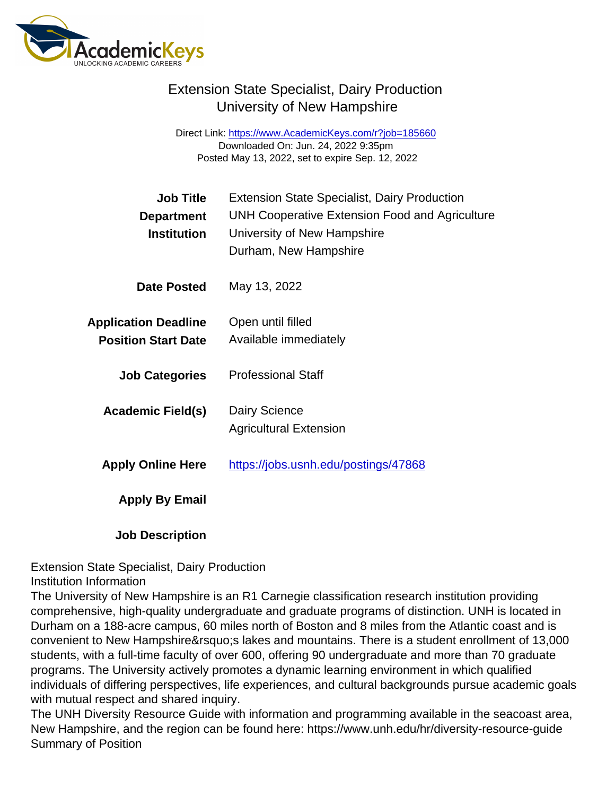Direct Link: <https://www.AcademicKeys.com/r?job=185660> Downloaded On: Jun. 24, 2022 9:35pm Posted May 13, 2022, set to expire Sep. 12, 2022

| <b>Job Title</b><br>Department<br>Institution             | <b>Extension State Specialist, Dairy Production</b><br>UNH Cooperative Extension Food and Agriculture<br>University of New Hampshire<br>Durham, New Hampshire |
|-----------------------------------------------------------|---------------------------------------------------------------------------------------------------------------------------------------------------------------|
| Date Posted                                               | May 13, 2022                                                                                                                                                  |
| <b>Application Deadline</b><br><b>Position Start Date</b> | Open until filled<br>Available immediately                                                                                                                    |
| <b>Job Categories</b>                                     | <b>Professional Staff</b>                                                                                                                                     |
| Academic Field(s)                                         | Dairy Science<br><b>Agricultural Extension</b>                                                                                                                |
| <b>Apply Online Here</b>                                  | https://jobs.usnh.edu/postings/47868                                                                                                                          |
| Apply By Email                                            |                                                                                                                                                               |
|                                                           |                                                                                                                                                               |

Job Description

Extension State Specialist, Dairy Production

Institution Information

The University of New Hampshire is an R1 Carnegie classification research institution providing comprehensive, high-quality undergraduate and graduate programs of distinction. UNH is located in Durham on a 188-acre campus, 60 miles north of Boston and 8 miles from the Atlantic coast and is convenient to New Hampshire's lakes and mountains. There is a student enrollment of 13,000 students, with a full-time faculty of over 600, offering 90 undergraduate and more than 70 graduate programs. The University actively promotes a dynamic learning environment in which qualified individuals of differing perspectives, life experiences, and cultural backgrounds pursue academic goals with mutual respect and shared inquiry.

The UNH Diversity Resource Guide with information and programming available in the seacoast area, New Hampshire, and the region can be found here: https://www.unh.edu/hr/diversity-resource-guide Summary of Position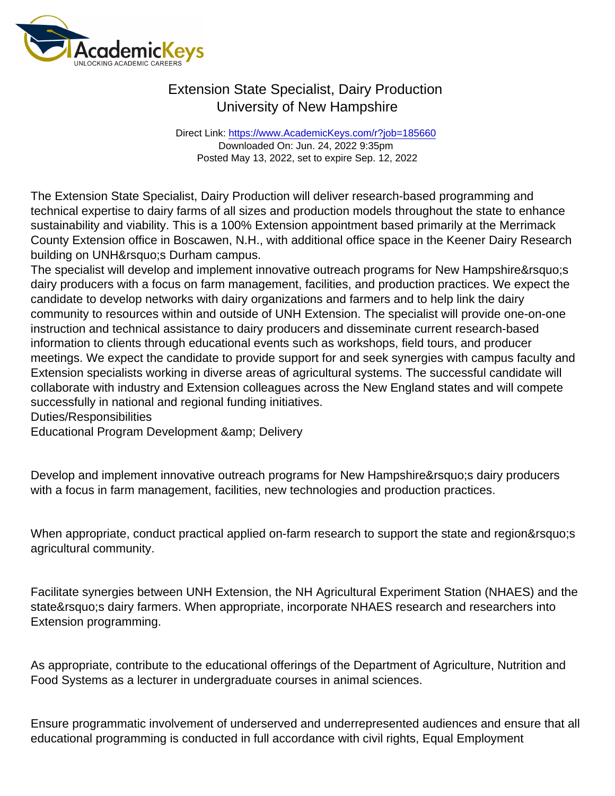Direct Link: <https://www.AcademicKeys.com/r?job=185660> Downloaded On: Jun. 24, 2022 9:35pm Posted May 13, 2022, set to expire Sep. 12, 2022

The Extension State Specialist, Dairy Production will deliver research-based programming and technical expertise to dairy farms of all sizes and production models throughout the state to enhance sustainability and viability. This is a 100% Extension appointment based primarily at the Merrimack County Extension office in Boscawen, N.H., with additional office space in the Keener Dairy Research building on UNH' Durham campus.

The specialist will develop and implement innovative outreach programs for New Hampshire's dairy producers with a focus on farm management, facilities, and production practices. We expect the candidate to develop networks with dairy organizations and farmers and to help link the dairy community to resources within and outside of UNH Extension. The specialist will provide one-on-one instruction and technical assistance to dairy producers and disseminate current research-based information to clients through educational events such as workshops, field tours, and producer meetings. We expect the candidate to provide support for and seek synergies with campus faculty and Extension specialists working in diverse areas of agricultural systems. The successful candidate will collaborate with industry and Extension colleagues across the New England states and will compete successfully in national and regional funding initiatives.

### Duties/Responsibilities

Educational Program Development & amp; Delivery

Develop and implement innovative outreach programs for New Hampshire' sdairy producers with a focus in farm management, facilities, new technologies and production practices.

When appropriate, conduct practical applied on-farm research to support the state and region's agricultural community.

Facilitate synergies between UNH Extension, the NH Agricultural Experiment Station (NHAES) and the state's dairy farmers. When appropriate, incorporate NHAES research and researchers into Extension programming.

As appropriate, contribute to the educational offerings of the Department of Agriculture, Nutrition and Food Systems as a lecturer in undergraduate courses in animal sciences.

Ensure programmatic involvement of underserved and underrepresented audiences and ensure that all educational programming is conducted in full accordance with civil rights, Equal Employment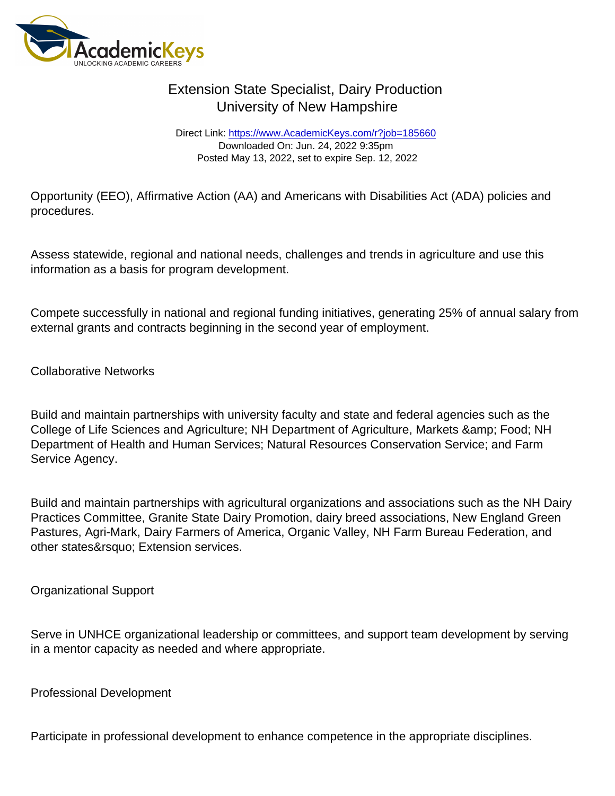Direct Link: <https://www.AcademicKeys.com/r?job=185660> Downloaded On: Jun. 24, 2022 9:35pm Posted May 13, 2022, set to expire Sep. 12, 2022

Opportunity (EEO), Affirmative Action (AA) and Americans with Disabilities Act (ADA) policies and procedures.

Assess statewide, regional and national needs, challenges and trends in agriculture and use this information as a basis for program development.

Compete successfully in national and regional funding initiatives, generating 25% of annual salary from external grants and contracts beginning in the second year of employment.

Collaborative Networks

Build and maintain partnerships with university faculty and state and federal agencies such as the College of Life Sciences and Agriculture; NH Department of Agriculture, Markets & amp; Food; NH Department of Health and Human Services; Natural Resources Conservation Service; and Farm Service Agency.

Build and maintain partnerships with agricultural organizations and associations such as the NH Dairy Practices Committee, Granite State Dairy Promotion, dairy breed associations, New England Green Pastures, Agri-Mark, Dairy Farmers of America, Organic Valley, NH Farm Bureau Federation, and other states' Extension services.

Organizational Support

Serve in UNHCE organizational leadership or committees, and support team development by serving in a mentor capacity as needed and where appropriate.

Professional Development

Participate in professional development to enhance competence in the appropriate disciplines.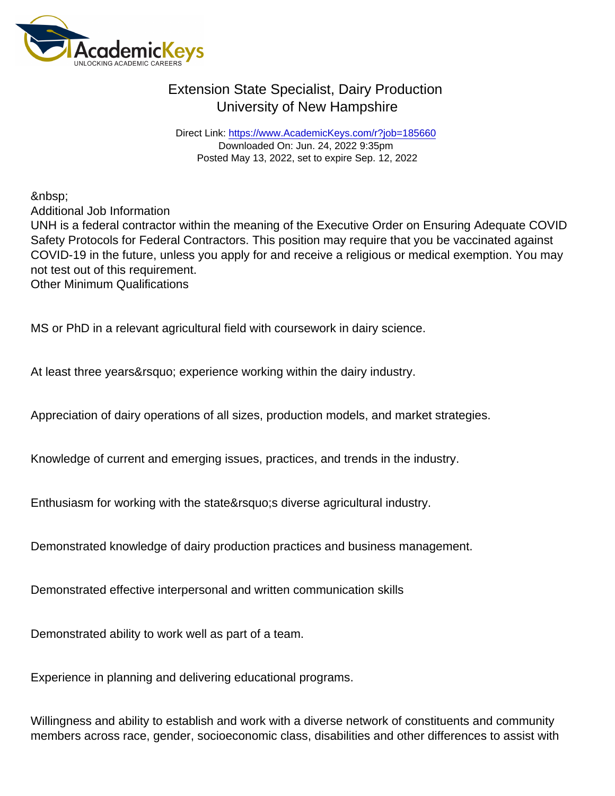Direct Link: <https://www.AcademicKeys.com/r?job=185660> Downloaded On: Jun. 24, 2022 9:35pm Posted May 13, 2022, set to expire Sep. 12, 2022

Additional Job Information

UNH is a federal contractor within the meaning of the Executive Order on Ensuring Adequate COVID Safety Protocols for Federal Contractors. This position may require that you be vaccinated against COVID-19 in the future, unless you apply for and receive a religious or medical exemption. You may not test out of this requirement. Other Minimum Qualifications

MS or PhD in a relevant agricultural field with coursework in dairy science.

At least three years' experience working within the dairy industry.

Appreciation of dairy operations of all sizes, production models, and market strategies.

Knowledge of current and emerging issues, practices, and trends in the industry.

Enthusiasm for working with the state' adiverse agricultural industry.

Demonstrated knowledge of dairy production practices and business management.

Demonstrated effective interpersonal and written communication skills

Demonstrated ability to work well as part of a team.

Experience in planning and delivering educational programs.

Willingness and ability to establish and work with a diverse network of constituents and community members across race, gender, socioeconomic class, disabilities and other differences to assist with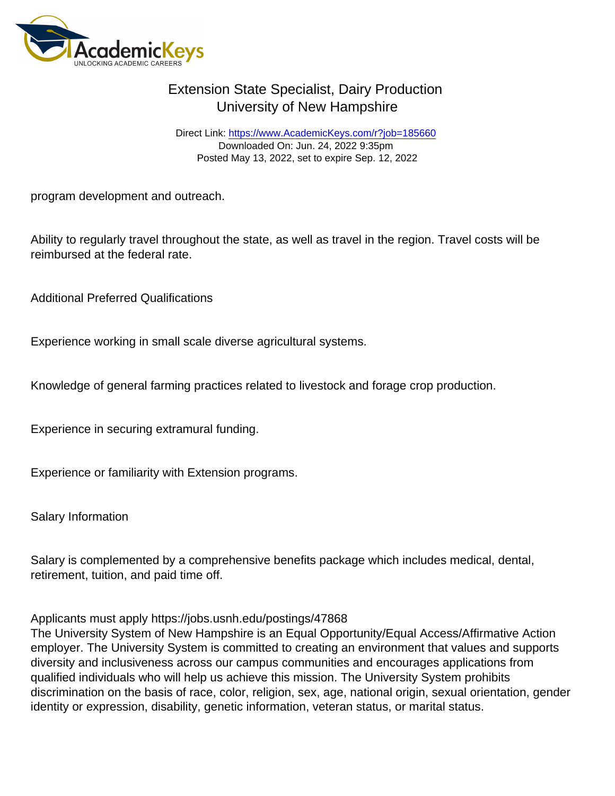Direct Link: <https://www.AcademicKeys.com/r?job=185660> Downloaded On: Jun. 24, 2022 9:35pm Posted May 13, 2022, set to expire Sep. 12, 2022

program development and outreach.

Ability to regularly travel throughout the state, as well as travel in the region. Travel costs will be reimbursed at the federal rate.

Additional Preferred Qualifications

Experience working in small scale diverse agricultural systems.

Knowledge of general farming practices related to livestock and forage crop production.

Experience in securing extramural funding.

Experience or familiarity with Extension programs.

Salary Information

Salary is complemented by a comprehensive benefits package which includes medical, dental, retirement, tuition, and paid time off.

### Applicants must apply https://jobs.usnh.edu/postings/47868

The University System of New Hampshire is an Equal Opportunity/Equal Access/Affirmative Action employer. The University System is committed to creating an environment that values and supports diversity and inclusiveness across our campus communities and encourages applications from qualified individuals who will help us achieve this mission. The University System prohibits discrimination on the basis of race, color, religion, sex, age, national origin, sexual orientation, gender identity or expression, disability, genetic information, veteran status, or marital status.